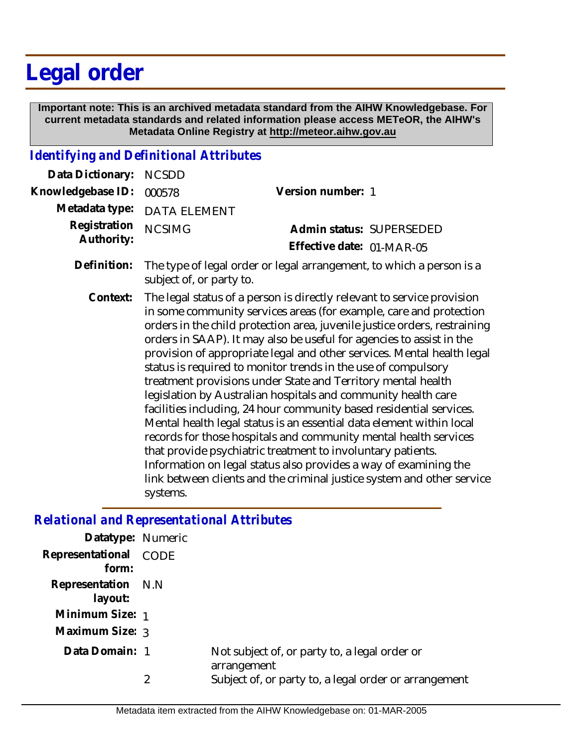# **Legal order**

 **Important note: This is an archived metadata standard from the AIHW Knowledgebase. For current metadata standards and related information please access METeOR, the AIHW's Metadata Online Registry at http://meteor.aihw.gov.au**

### *Identifying and Definitional Attributes*

| Data Dictionary:  | <b>NCSDD</b>                                                                                                                                                                                                                                                                                                                                                                                                                                                                                                                                                                                                                                                                                                                                                                                                                                                                                                                                                                                                              |                                                                      |
|-------------------|---------------------------------------------------------------------------------------------------------------------------------------------------------------------------------------------------------------------------------------------------------------------------------------------------------------------------------------------------------------------------------------------------------------------------------------------------------------------------------------------------------------------------------------------------------------------------------------------------------------------------------------------------------------------------------------------------------------------------------------------------------------------------------------------------------------------------------------------------------------------------------------------------------------------------------------------------------------------------------------------------------------------------|----------------------------------------------------------------------|
| Knowledgebase ID: | 000578                                                                                                                                                                                                                                                                                                                                                                                                                                                                                                                                                                                                                                                                                                                                                                                                                                                                                                                                                                                                                    | Version number: 1                                                    |
| Metadata type:    | DATA ELEMENT                                                                                                                                                                                                                                                                                                                                                                                                                                                                                                                                                                                                                                                                                                                                                                                                                                                                                                                                                                                                              |                                                                      |
| Registration      | <b>NCSIMG</b>                                                                                                                                                                                                                                                                                                                                                                                                                                                                                                                                                                                                                                                                                                                                                                                                                                                                                                                                                                                                             | Admin status: SUPERSEDED                                             |
| Authority:        |                                                                                                                                                                                                                                                                                                                                                                                                                                                                                                                                                                                                                                                                                                                                                                                                                                                                                                                                                                                                                           | Effective date: 01-MAR-05                                            |
| Definition:       | subject of, or party to.                                                                                                                                                                                                                                                                                                                                                                                                                                                                                                                                                                                                                                                                                                                                                                                                                                                                                                                                                                                                  | The type of legal order or legal arrangement, to which a person is a |
| Context:          | The legal status of a person is directly relevant to service provision<br>in some community services areas (for example, care and protection<br>orders in the child protection area, juvenile justice orders, restraining<br>orders in SAAP). It may also be useful for agencies to assist in the<br>provision of appropriate legal and other services. Mental health legal<br>status is required to monitor trends in the use of compulsory<br>treatment provisions under State and Territory mental health<br>legislation by Australian hospitals and community health care<br>facilities including, 24 hour community based residential services.<br>Mental health legal status is an essential data element within local<br>records for those hospitals and community mental health services<br>that provide psychiatric treatment to involuntary patients.<br>Information on legal status also provides a way of examining the<br>link between clients and the criminal justice system and other service<br>systems. |                                                                      |

#### *Relational and Representational Attributes*

| Representational CODE<br>form:<br>Representation N.N.<br>layout:<br>Minimum Size: 1<br>Maximum Size: 3<br>Data Domain: 1<br>Not subject of, or party to, a legal order or<br>arrangement<br>2 | Datatype: Numeric |                                                       |
|-----------------------------------------------------------------------------------------------------------------------------------------------------------------------------------------------|-------------------|-------------------------------------------------------|
|                                                                                                                                                                                               |                   |                                                       |
|                                                                                                                                                                                               |                   |                                                       |
|                                                                                                                                                                                               |                   |                                                       |
|                                                                                                                                                                                               |                   |                                                       |
|                                                                                                                                                                                               |                   |                                                       |
|                                                                                                                                                                                               |                   | Subject of, or party to, a legal order or arrangement |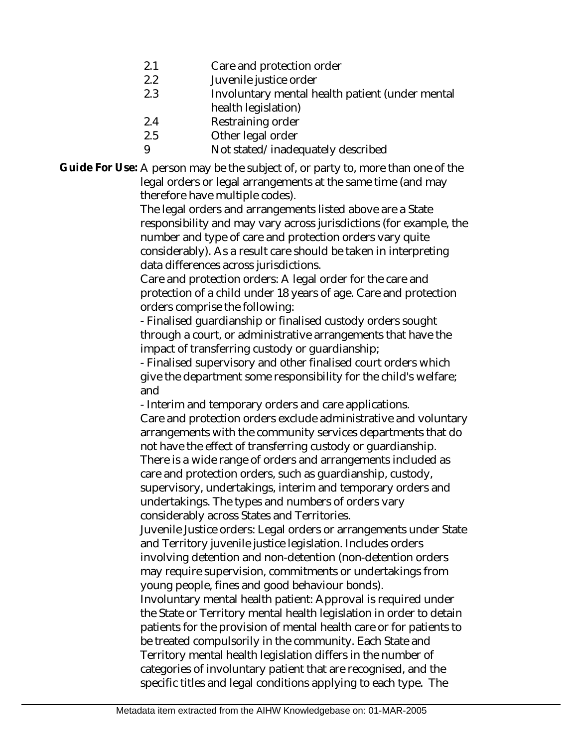- 2.1 Care and protection order
- 2.2 Juvenile justice order
- 2.3 Involuntary mental health patient (under mental health legislation)
- 2.4 Restraining order
- 2.5 Other legal order
- 9 Not stated/inadequately described

Guide For Use: A person may be the subject of, or party to, more than one of the legal orders or legal arrangements at the same time (and may therefore have multiple codes).

The legal orders and arrangements listed above are a State responsibility and may vary across jurisdictions (for example, the number and type of care and protection orders vary quite considerably). As a result care should be taken in interpreting data differences across jurisdictions.

Care and protection orders: A legal order for the care and protection of a child under 18 years of age. Care and protection orders comprise the following:

- Finalised guardianship or finalised custody orders sought through a court, or administrative arrangements that have the impact of transferring custody or guardianship;

- Finalised supervisory and other finalised court orders which give the department some responsibility for the child's welfare; and

- Interim and temporary orders and care applications. Care and protection orders exclude administrative and voluntary arrangements with the community services departments that do not have the effect of transferring custody or guardianship. There is a wide range of orders and arrangements included as care and protection orders, such as guardianship, custody, supervisory, undertakings, interim and temporary orders and undertakings. The types and numbers of orders vary considerably across States and Territories.

Juvenile Justice orders: Legal orders or arrangements under State and Territory juvenile justice legislation. Includes orders involving detention and non-detention (non-detention orders may require supervision, commitments or undertakings from young people, fines and good behaviour bonds).

Involuntary mental health patient: Approval is required under the State or Territory mental health legislation in order to detain patients for the provision of mental health care or for patients to be treated compulsorily in the community. Each State and Territory mental health legislation differs in the number of categories of involuntary patient that are recognised, and the specific titles and legal conditions applying to each type. The